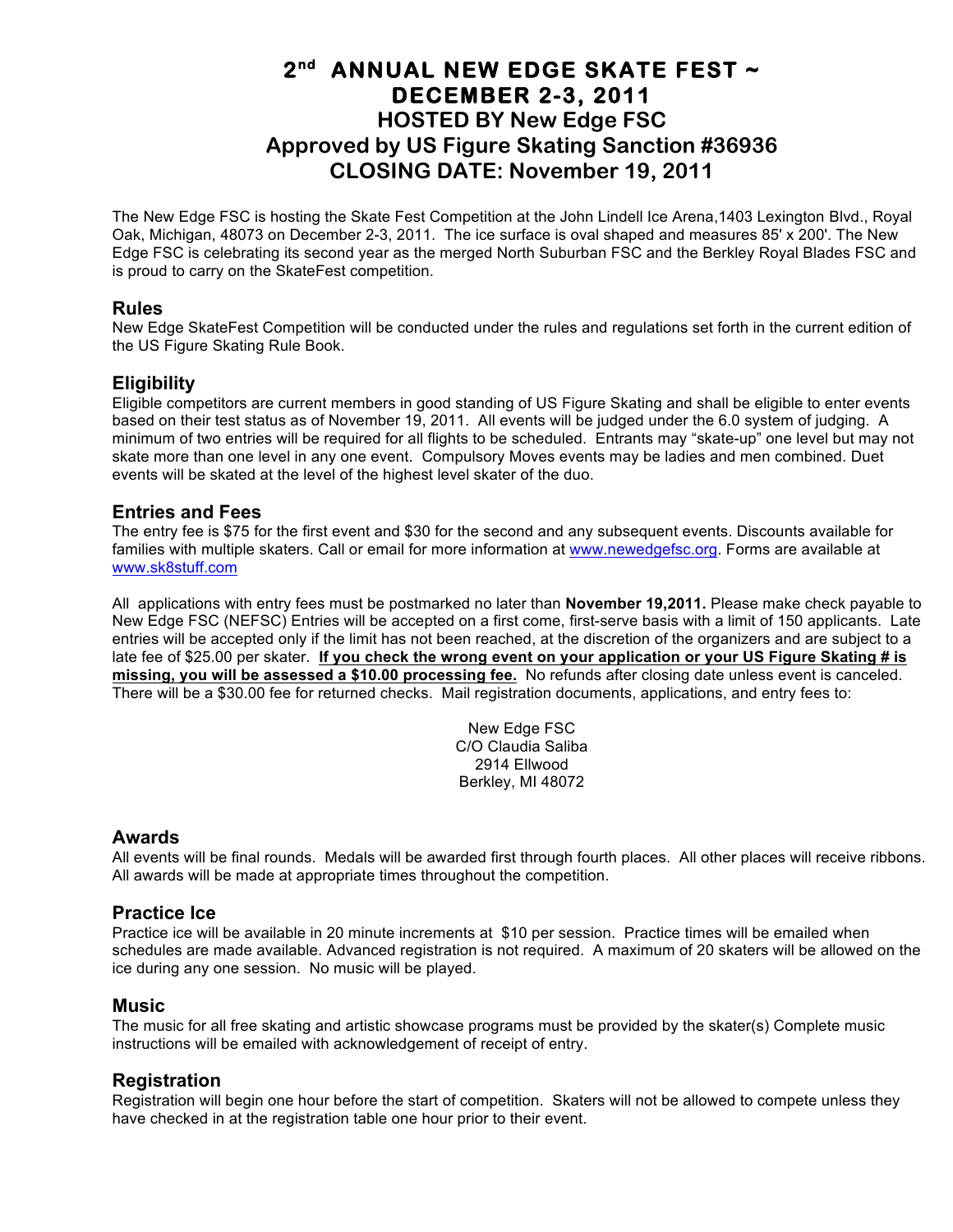## **2nd ANNUAL NEW EDGE SKATE FEST ~ DECEMBER 2-3, 2011 HOSTED BY New Edge FSC Approved by US Figure Skating Sanction #36936 CLOSING DATE: November 19, 2011**

The New Edge FSC is hosting the Skate Fest Competition at the John Lindell Ice Arena,1403 Lexington Blvd., Royal Oak, Michigan, 48073 on December 2-3, 2011. The ice surface is oval shaped and measures 85' x 200'. The New Edge FSC is celebrating its second year as the merged North Suburban FSC and the Berkley Royal Blades FSC and is proud to carry on the SkateFest competition.

#### **Rules**

New Edge SkateFest Competition will be conducted under the rules and regulations set forth in the current edition of the US Figure Skating Rule Book.

### **Eligibility**

Eligible competitors are current members in good standing of US Figure Skating and shall be eligible to enter events based on their test status as of November 19, 2011. All events will be judged under the 6.0 system of judging. A minimum of two entries will be required for all flights to be scheduled. Entrants may "skate-up" one level but may not skate more than one level in any one event. Compulsory Moves events may be ladies and men combined. Duet events will be skated at the level of the highest level skater of the duo.

#### **Entries and Fees**

The entry fee is \$75 for the first event and \$30 for the second and any subsequent events. Discounts available for families with multiple skaters. Call or email for more information at www.newedgefsc.org. Forms are available at www.sk8stuff.com

All applications with entry fees must be postmarked no later than **November 19,2011.** Please make check payable to New Edge FSC (NEFSC) Entries will be accepted on a first come, first-serve basis with a limit of 150 applicants. Late entries will be accepted only if the limit has not been reached, at the discretion of the organizers and are subject to a late fee of \$25.00 per skater. **If you check the wrong event on your application or your US Figure Skating # is missing, you will be assessed a \$10.00 processing fee.** No refunds after closing date unless event is canceled. There will be a \$30.00 fee for returned checks. Mail registration documents, applications, and entry fees to:

> New Edge FSC C/O Claudia Saliba 2914 Ellwood Berkley, MI 48072

#### **Awards**

All events will be final rounds. Medals will be awarded first through fourth places. All other places will receive ribbons. All awards will be made at appropriate times throughout the competition.

### **Practice Ice**

Practice ice will be available in 20 minute increments at \$10 per session. Practice times will be emailed when schedules are made available. Advanced registration is not required. A maximum of 20 skaters will be allowed on the ice during any one session. No music will be played.

#### **Music**

The music for all free skating and artistic showcase programs must be provided by the skater(s) Complete music instructions will be emailed with acknowledgement of receipt of entry.

### **Registration**

Registration will begin one hour before the start of competition. Skaters will not be allowed to compete unless they have checked in at the registration table one hour prior to their event.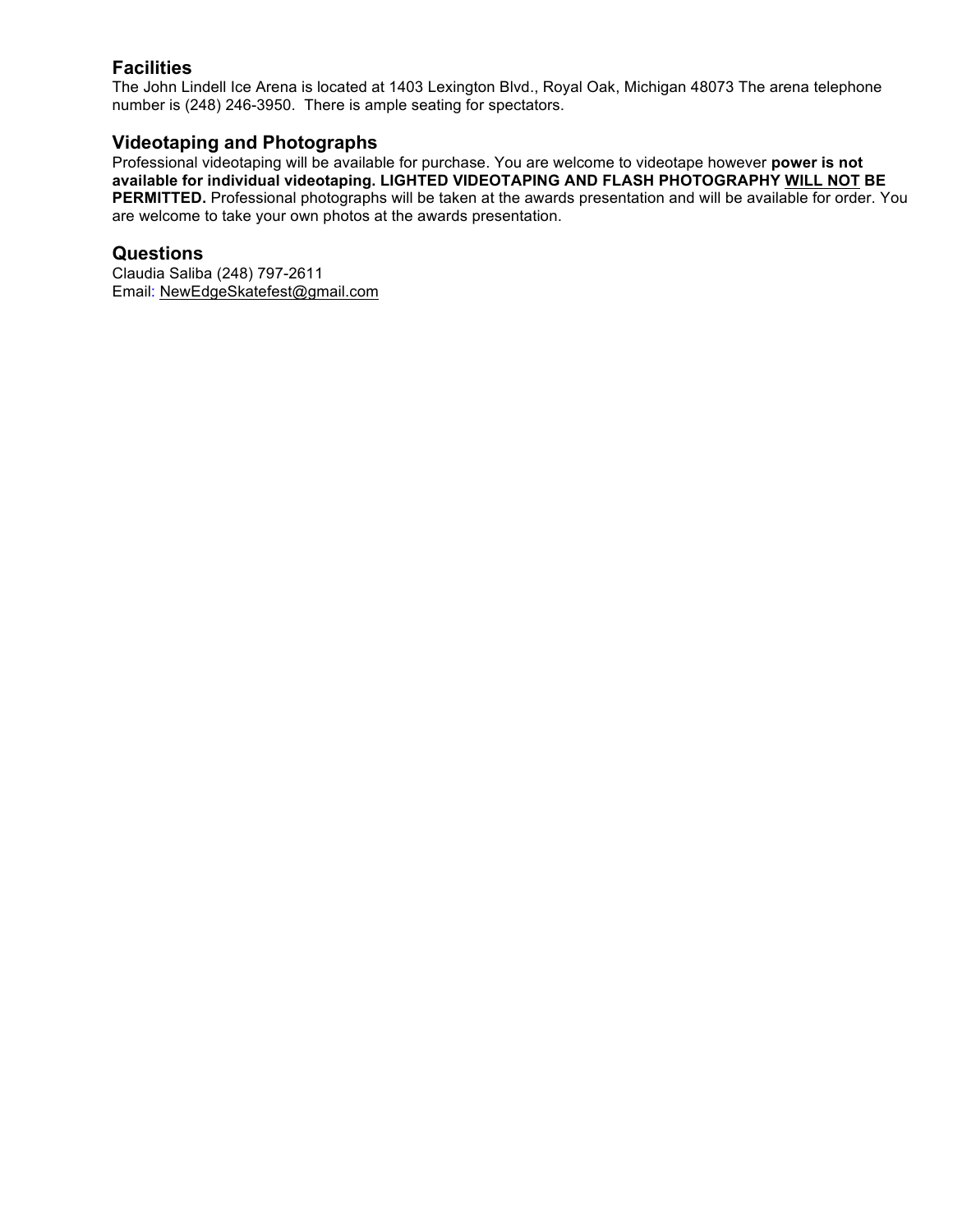## **Facilities**

The John Lindell Ice Arena is located at 1403 Lexington Blvd., Royal Oak, Michigan 48073 The arena telephone number is (248) 246-3950. There is ample seating for spectators.

### **Videotaping and Photographs**

Professional videotaping will be available for purchase. You are welcome to videotape however **power is not available for individual videotaping. LIGHTED VIDEOTAPING AND FLASH PHOTOGRAPHY WILL NOT BE PERMITTED.** Professional photographs will be taken at the awards presentation and will be available for order. You are welcome to take your own photos at the awards presentation.

#### **Questions**

Claudia Saliba (248) 797-2611 Email: NewEdgeSkatefest@gmail.com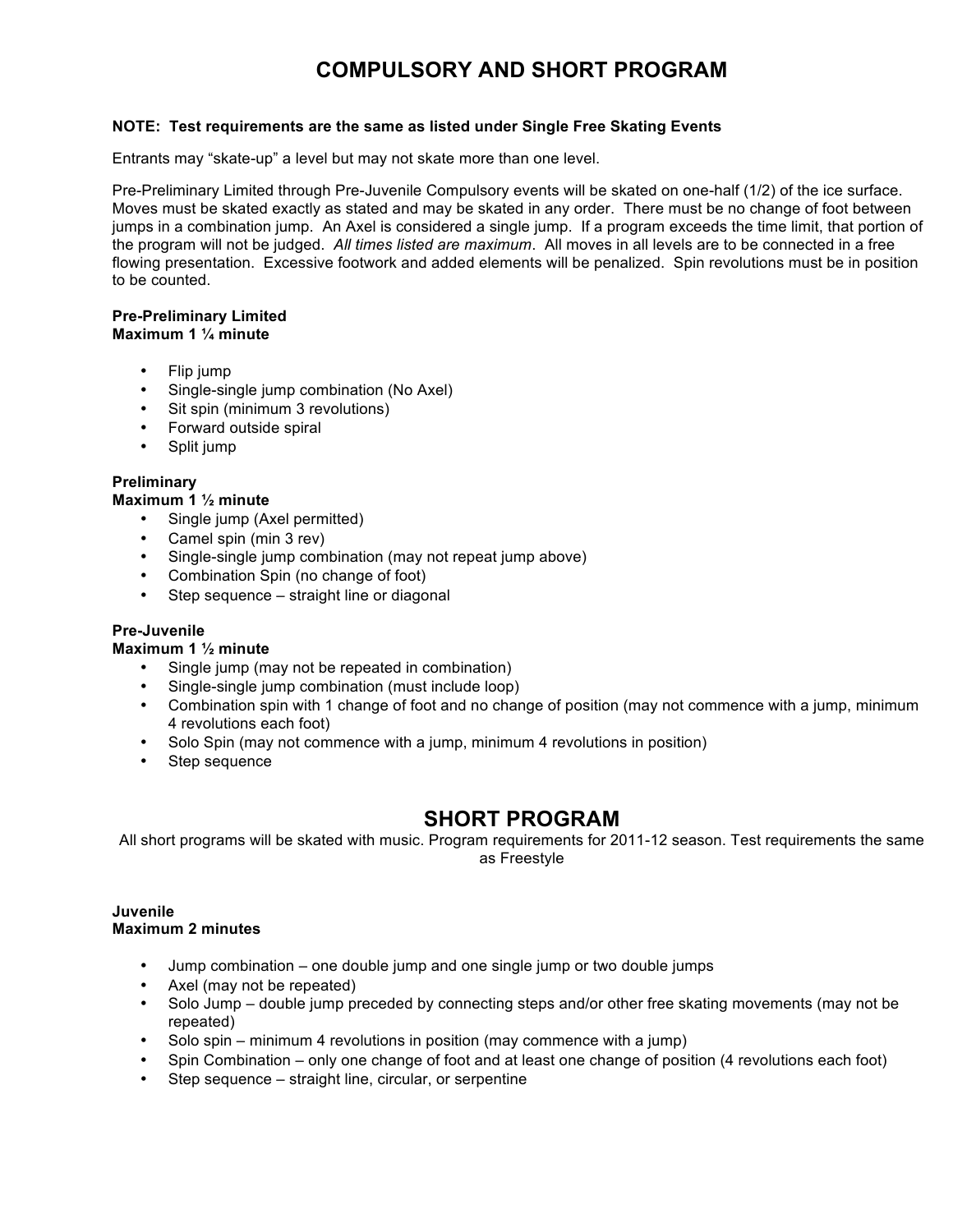# **COMPULSORY AND SHORT PROGRAM**

#### **NOTE: Test requirements are the same as listed under Single Free Skating Events**

Entrants may "skate-up" a level but may not skate more than one level.

Pre-Preliminary Limited through Pre-Juvenile Compulsory events will be skated on one-half (1/2) of the ice surface. Moves must be skated exactly as stated and may be skated in any order. There must be no change of foot between jumps in a combination jump. An Axel is considered a single jump. If a program exceeds the time limit, that portion of the program will not be judged. *All times listed are maximum*. All moves in all levels are to be connected in a free flowing presentation. Excessive footwork and added elements will be penalized. Spin revolutions must be in position to be counted.

#### **Pre-Preliminary Limited Maximum 1 ¼ minute**

- Flip jump
- Single-single jump combination (No Axel)
- Sit spin (minimum 3 revolutions)
- Forward outside spiral
- Split jump

#### **Preliminary**

#### **Maximum 1 ½ minute**

- Single jump (Axel permitted)
- Camel spin (min 3 rev)
- Single-single jump combination (may not repeat jump above)
- Combination Spin (no change of foot)
- Step sequence straight line or diagonal

#### **Pre-Juvenile**

#### **Maximum 1 ½ minute**

- Single jump (may not be repeated in combination)
- Single-single jump combination (must include loop)
- Combination spin with 1 change of foot and no change of position (may not commence with a jump, minimum 4 revolutions each foot)
- Solo Spin (may not commence with a jump, minimum 4 revolutions in position)
- Step sequence

## **SHORT PROGRAM**

All short programs will be skated with music. Program requirements for 2011-12 season. Test requirements the same as Freestyle

#### **Juvenile Maximum 2 minutes**

- Jump combination one double jump and one single jump or two double jumps
- Axel (may not be repeated)
- Solo Jump double jump preceded by connecting steps and/or other free skating movements (may not be repeated)
- Solo spin minimum 4 revolutions in position (may commence with a jump)
- Spin Combination only one change of foot and at least one change of position (4 revolutions each foot)
- Step sequence straight line, circular, or serpentine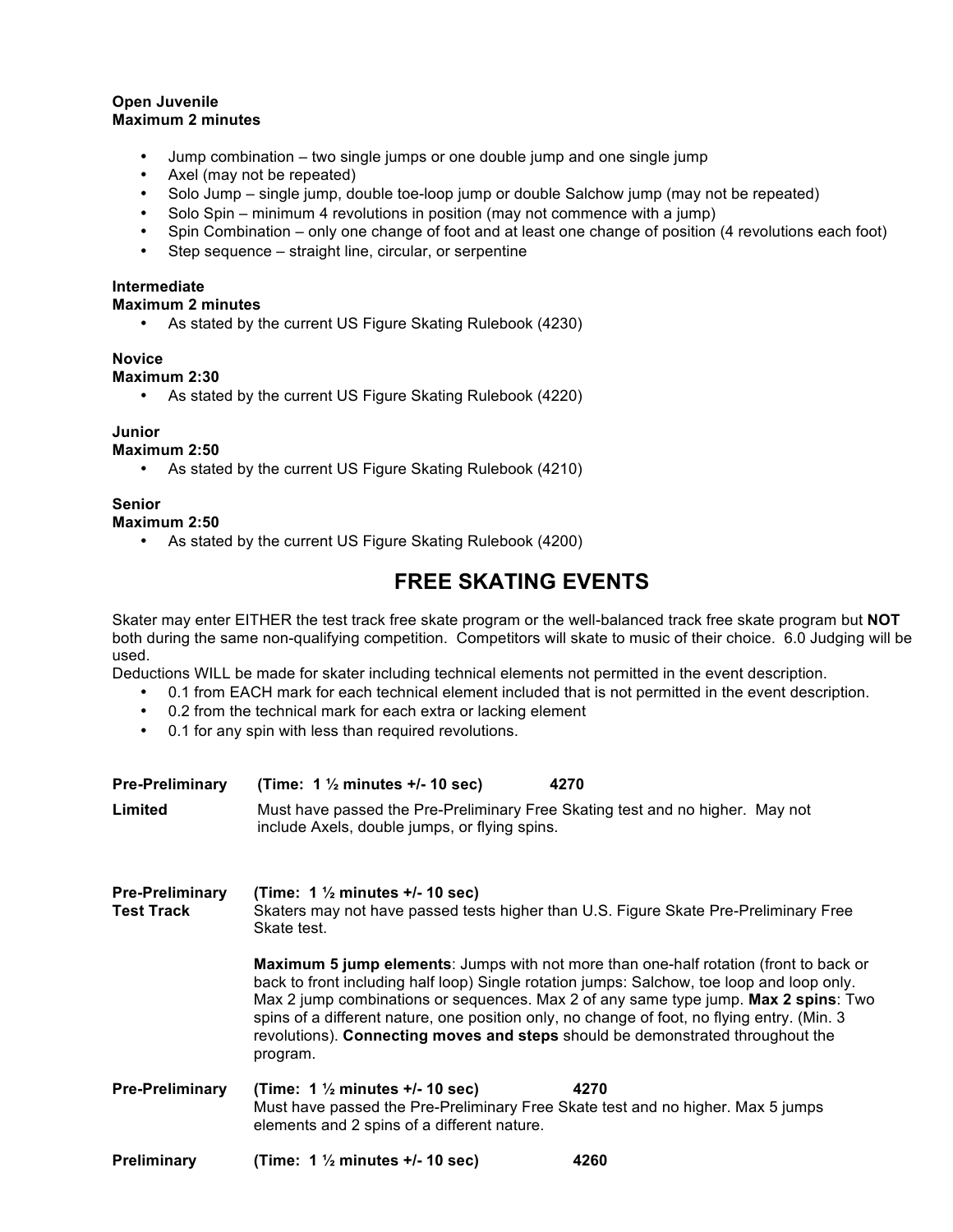#### **Open Juvenile Maximum 2 minutes**

- Jump combination two single jumps or one double jump and one single jump
- Axel (may not be repeated)
- Solo Jump single jump, double toe-loop jump or double Salchow jump (may not be repeated)
- Solo Spin minimum 4 revolutions in position (may not commence with a jump)<br>• Spin Combination only one change of foot and at least one change of position
- Spin Combination only one change of foot and at least one change of position (4 revolutions each foot)
- Step sequence straight line, circular, or serpentine

#### **Intermediate**

#### **Maximum 2 minutes**

• As stated by the current US Figure Skating Rulebook (4230)

#### **Novice**

#### **Maximum 2:30**

• As stated by the current US Figure Skating Rulebook (4220)

#### **Junior**

**Maximum 2:50**

• As stated by the current US Figure Skating Rulebook (4210)

#### **Senior**

#### **Maximum 2:50**

• As stated by the current US Figure Skating Rulebook (4200)

## **FREE SKATING EVENTS**

Skater may enter EITHER the test track free skate program or the well-balanced track free skate program but **NOT** both during the same non-qualifying competition. Competitors will skate to music of their choice. 6.0 Judging will be used.

Deductions WILL be made for skater including technical elements not permitted in the event description.

- 0.1 from EACH mark for each technical element included that is not permitted in the event description.
- 0.2 from the technical mark for each extra or lacking element
- 0.1 for any spin with less than required revolutions.

| <b>Pre-Preliminary</b><br>Limited           | (Time: $1\frac{1}{2}$ minutes $+/-10$ sec)<br>4270<br>Must have passed the Pre-Preliminary Free Skating test and no higher. May not<br>include Axels, double jumps, or flying spins.                                                                                                                                                                                                                                                                                            |
|---------------------------------------------|---------------------------------------------------------------------------------------------------------------------------------------------------------------------------------------------------------------------------------------------------------------------------------------------------------------------------------------------------------------------------------------------------------------------------------------------------------------------------------|
| <b>Pre-Preliminary</b><br><b>Test Track</b> | (Time: $1\frac{1}{2}$ minutes $+/-10$ sec)<br>Skaters may not have passed tests higher than U.S. Figure Skate Pre-Preliminary Free<br>Skate test.                                                                                                                                                                                                                                                                                                                               |
|                                             | <b>Maximum 5 jump elements:</b> Jumps with not more than one-half rotation (front to back or<br>back to front including half loop) Single rotation jumps: Salchow, toe loop and loop only.<br>Max 2 jump combinations or sequences. Max 2 of any same type jump. Max 2 spins: Two<br>spins of a different nature, one position only, no change of foot, no flying entry. (Min. 3)<br>revolutions). Connecting moves and steps should be demonstrated throughout the<br>program. |
| <b>Pre-Preliminary</b>                      | (Time: $1\frac{1}{2}$ minutes $+/-10$ sec)<br>4270<br>Must have passed the Pre-Preliminary Free Skate test and no higher. Max 5 jumps<br>elements and 2 spins of a different nature.                                                                                                                                                                                                                                                                                            |
| Preliminary                                 | (Time: $1\frac{1}{2}$ minutes +/- 10 sec)<br>4260                                                                                                                                                                                                                                                                                                                                                                                                                               |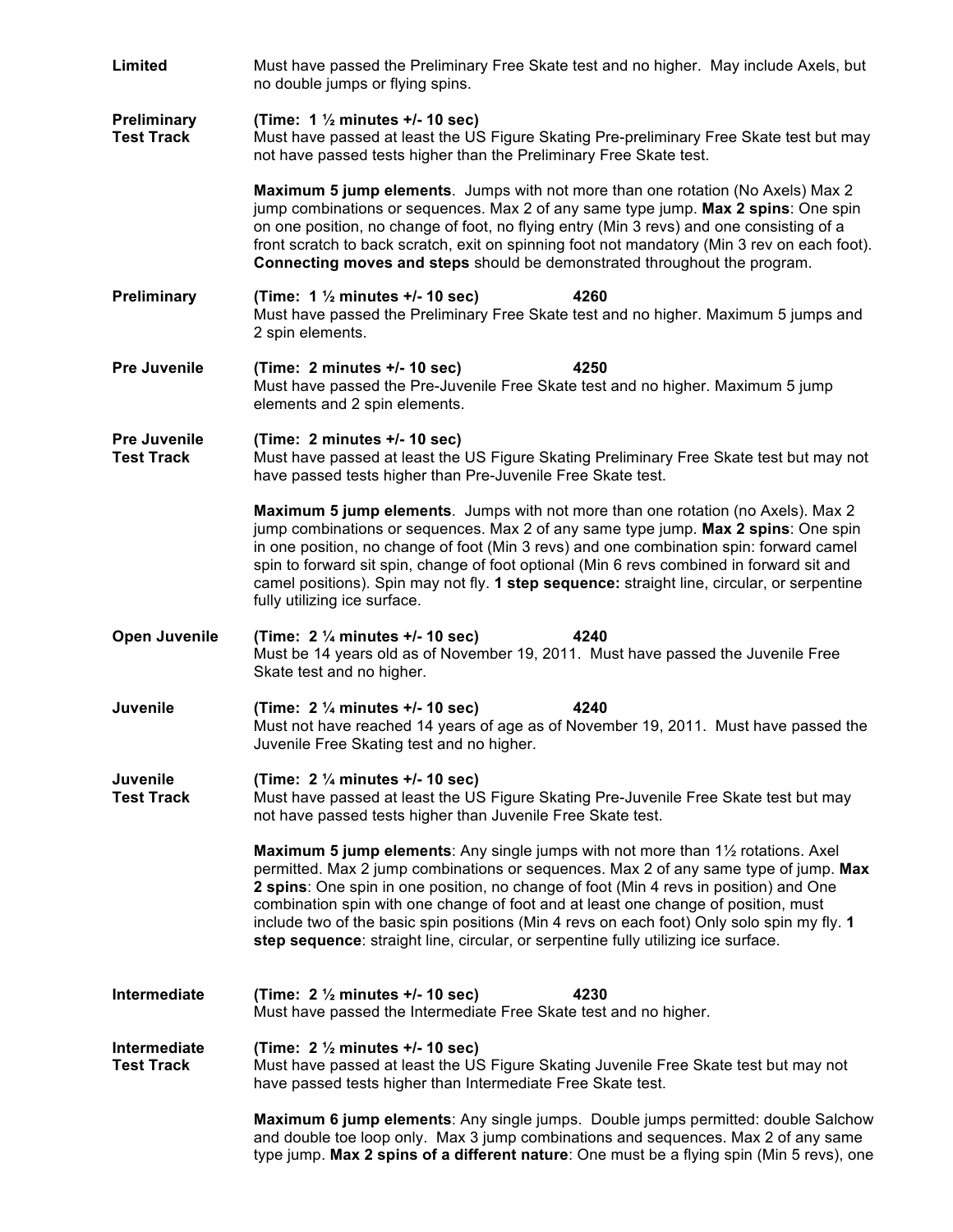| <b>Limited</b>                           | Must have passed the Preliminary Free Skate test and no higher. May include Axels, but<br>no double jumps or flying spins.                                                                                                                                                                                                                                                                                                                                                                                                                   |  |  |
|------------------------------------------|----------------------------------------------------------------------------------------------------------------------------------------------------------------------------------------------------------------------------------------------------------------------------------------------------------------------------------------------------------------------------------------------------------------------------------------------------------------------------------------------------------------------------------------------|--|--|
| <b>Preliminary</b><br><b>Test Track</b>  | (Time: $1\frac{1}{2}$ minutes +/- 10 sec)<br>Must have passed at least the US Figure Skating Pre-preliminary Free Skate test but may<br>not have passed tests higher than the Preliminary Free Skate test.                                                                                                                                                                                                                                                                                                                                   |  |  |
|                                          | Maximum 5 jump elements. Jumps with not more than one rotation (No Axels) Max 2<br>jump combinations or sequences. Max 2 of any same type jump. Max 2 spins: One spin<br>on one position, no change of foot, no flying entry (Min 3 revs) and one consisting of a<br>front scratch to back scratch, exit on spinning foot not mandatory (Min 3 rev on each foot).<br>Connecting moves and steps should be demonstrated throughout the program.                                                                                               |  |  |
| Preliminary                              | (Time: $1\frac{1}{2}$ minutes +/- 10 sec)<br>4260<br>Must have passed the Preliminary Free Skate test and no higher. Maximum 5 jumps and<br>2 spin elements.                                                                                                                                                                                                                                                                                                                                                                                 |  |  |
| <b>Pre Juvenile</b>                      | (Time: 2 minutes +/- 10 sec)<br>4250<br>Must have passed the Pre-Juvenile Free Skate test and no higher. Maximum 5 jump<br>elements and 2 spin elements.                                                                                                                                                                                                                                                                                                                                                                                     |  |  |
| <b>Pre Juvenile</b><br><b>Test Track</b> | (Time: 2 minutes +/- 10 sec)<br>Must have passed at least the US Figure Skating Preliminary Free Skate test but may not<br>have passed tests higher than Pre-Juvenile Free Skate test.                                                                                                                                                                                                                                                                                                                                                       |  |  |
|                                          | <b>Maximum 5 jump elements.</b> Jumps with not more than one rotation (no Axels). Max 2<br>jump combinations or sequences. Max 2 of any same type jump. Max 2 spins: One spin<br>in one position, no change of foot (Min 3 revs) and one combination spin: forward camel<br>spin to forward sit spin, change of foot optional (Min 6 revs combined in forward sit and<br>camel positions). Spin may not fly. 1 step sequence: straight line, circular, or serpentine<br>fully utilizing ice surface.                                         |  |  |
| <b>Open Juvenile</b>                     | (Time: $2\frac{1}{4}$ minutes +/- 10 sec)<br>4240<br>Must be 14 years old as of November 19, 2011. Must have passed the Juvenile Free<br>Skate test and no higher.                                                                                                                                                                                                                                                                                                                                                                           |  |  |
| Juvenile                                 | (Time: $2\frac{1}{4}$ minutes +/- 10 sec)<br>4240<br>Must not have reached 14 years of age as of November 19, 2011. Must have passed the<br>Juvenile Free Skating test and no higher.                                                                                                                                                                                                                                                                                                                                                        |  |  |
| <b>Juvenile</b><br><b>Test Track</b>     | (Time: $2\frac{1}{4}$ minutes +/- 10 sec)<br>Must have passed at least the US Figure Skating Pre-Juvenile Free Skate test but may<br>not have passed tests higher than Juvenile Free Skate test.                                                                                                                                                                                                                                                                                                                                             |  |  |
|                                          | Maximum 5 jump elements: Any single jumps with not more than 11/2 rotations. Axel<br>permitted. Max 2 jump combinations or sequences. Max 2 of any same type of jump. Max<br>2 spins: One spin in one position, no change of foot (Min 4 revs in position) and One<br>combination spin with one change of foot and at least one change of position, must<br>include two of the basic spin positions (Min 4 revs on each foot) Only solo spin my fly. 1<br>step sequence: straight line, circular, or serpentine fully utilizing ice surface. |  |  |
| Intermediate                             | (Time: $2\frac{1}{2}$ minutes +/- 10 sec)<br>4230<br>Must have passed the Intermediate Free Skate test and no higher.                                                                                                                                                                                                                                                                                                                                                                                                                        |  |  |
| <b>Intermediate</b><br><b>Test Track</b> | (Time: $2\frac{1}{2}$ minutes +/- 10 sec)<br>Must have passed at least the US Figure Skating Juvenile Free Skate test but may not<br>have passed tests higher than Intermediate Free Skate test.                                                                                                                                                                                                                                                                                                                                             |  |  |
|                                          | Maximum 6 jump elements: Any single jumps. Double jumps permitted: double Salchow<br>and double toe loop only. Max 3 jump combinations and sequences. Max 2 of any same<br>type jump. Max 2 spins of a different nature: One must be a flying spin (Min 5 revs), one                                                                                                                                                                                                                                                                         |  |  |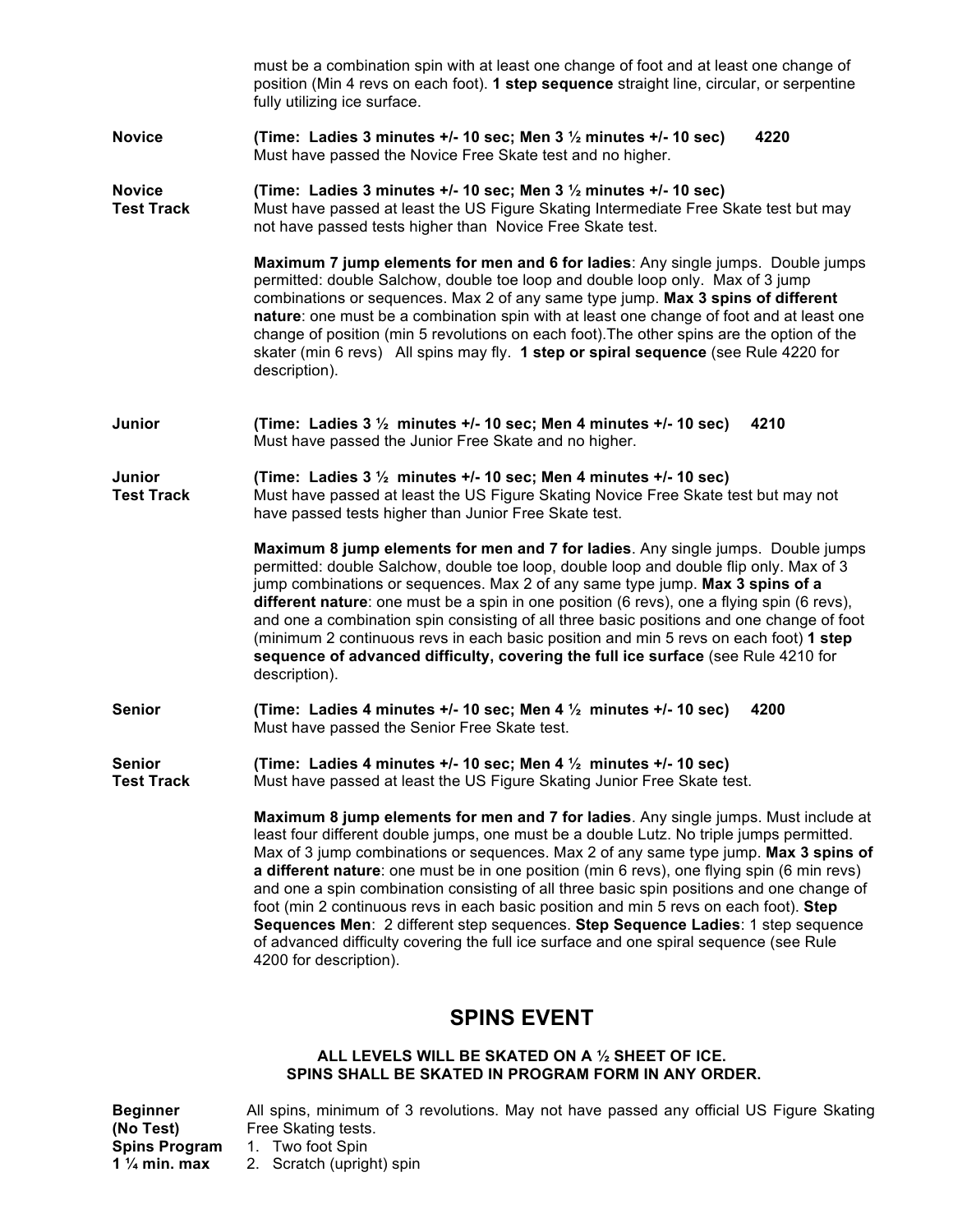|                                    | must be a combination spin with at least one change of foot and at least one change of<br>position (Min 4 revs on each foot). 1 step sequence straight line, circular, or serpentine<br>fully utilizing ice surface.                                                                                                                                                                                                                                                                                                                                                                                                                                                                                                                                                |
|------------------------------------|---------------------------------------------------------------------------------------------------------------------------------------------------------------------------------------------------------------------------------------------------------------------------------------------------------------------------------------------------------------------------------------------------------------------------------------------------------------------------------------------------------------------------------------------------------------------------------------------------------------------------------------------------------------------------------------------------------------------------------------------------------------------|
| <b>Novice</b>                      | (Time: Ladies 3 minutes $+/-10$ sec; Men 3 $\frac{1}{2}$ minutes $+/-10$ sec)<br>4220<br>Must have passed the Novice Free Skate test and no higher.                                                                                                                                                                                                                                                                                                                                                                                                                                                                                                                                                                                                                 |
| <b>Novice</b><br><b>Test Track</b> | (Time: Ladies 3 minutes +/- 10 sec; Men 3 1/2 minutes +/- 10 sec)<br>Must have passed at least the US Figure Skating Intermediate Free Skate test but may<br>not have passed tests higher than Novice Free Skate test.                                                                                                                                                                                                                                                                                                                                                                                                                                                                                                                                              |
|                                    | Maximum 7 jump elements for men and 6 for ladies: Any single jumps. Double jumps<br>permitted: double Salchow, double toe loop and double loop only. Max of 3 jump<br>combinations or sequences. Max 2 of any same type jump. Max 3 spins of different<br>nature: one must be a combination spin with at least one change of foot and at least one<br>change of position (min 5 revolutions on each foot). The other spins are the option of the<br>skater (min 6 revs) All spins may fly. 1 step or spiral sequence (see Rule 4220 for<br>description).                                                                                                                                                                                                            |
| Junior                             | (Time: Ladies 3 1/2 minutes +/- 10 sec; Men 4 minutes +/- 10 sec)<br>4210<br>Must have passed the Junior Free Skate and no higher.                                                                                                                                                                                                                                                                                                                                                                                                                                                                                                                                                                                                                                  |
| Junior<br><b>Test Track</b>        | (Time: Ladies $3\frac{1}{2}$ minutes +/- 10 sec; Men 4 minutes +/- 10 sec)<br>Must have passed at least the US Figure Skating Novice Free Skate test but may not<br>have passed tests higher than Junior Free Skate test.                                                                                                                                                                                                                                                                                                                                                                                                                                                                                                                                           |
|                                    | Maximum 8 jump elements for men and 7 for ladies. Any single jumps. Double jumps<br>permitted: double Salchow, double toe loop, double loop and double flip only. Max of 3<br>jump combinations or sequences. Max 2 of any same type jump. Max 3 spins of a<br>different nature: one must be a spin in one position (6 revs), one a flying spin (6 revs),<br>and one a combination spin consisting of all three basic positions and one change of foot<br>(minimum 2 continuous revs in each basic position and min 5 revs on each foot) 1 step<br>sequence of advanced difficulty, covering the full ice surface (see Rule 4210 for<br>description).                                                                                                               |
| <b>Senior</b>                      | (Time: Ladies 4 minutes $+/-$ 10 sec; Men 4 $\frac{1}{2}$ minutes $+/-$ 10 sec)<br>4200<br>Must have passed the Senior Free Skate test.                                                                                                                                                                                                                                                                                                                                                                                                                                                                                                                                                                                                                             |
| <b>Senior</b><br><b>Test Track</b> | (Time: Ladies 4 minutes $+/-10$ sec; Men 4 $\frac{1}{2}$ minutes $+/-10$ sec)<br>Must have passed at least the US Figure Skating Junior Free Skate test.                                                                                                                                                                                                                                                                                                                                                                                                                                                                                                                                                                                                            |
|                                    | Maximum 8 jump elements for men and 7 for ladies. Any single jumps. Must include at<br>least four different double jumps, one must be a double Lutz. No triple jumps permitted.<br>Max of 3 jump combinations or sequences. Max 2 of any same type jump. Max 3 spins of<br>a different nature: one must be in one position (min 6 revs), one flying spin (6 min revs)<br>and one a spin combination consisting of all three basic spin positions and one change of<br>foot (min 2 continuous revs in each basic position and min 5 revs on each foot). Step<br>Sequences Men: 2 different step sequences. Step Sequence Ladies: 1 step sequence<br>of advanced difficulty covering the full ice surface and one spiral sequence (see Rule<br>4200 for description). |

## **SPINS EVENT**

#### **ALL LEVELS WILL BE SKATED ON A ½ SHEET OF ICE. SPINS SHALL BE SKATED IN PROGRAM FORM IN ANY ORDER.**

| <b>Beginner</b>          | All spins, minimum of 3 revolutions. May not have passed any official US Figure Skating |
|--------------------------|-----------------------------------------------------------------------------------------|
| (No Test)                | Free Skating tests.                                                                     |
| <b>Spins Program</b>     | 1. Two foot Spin                                                                        |
| 1 $\frac{1}{4}$ min. max | 2. Scratch (upright) spin                                                               |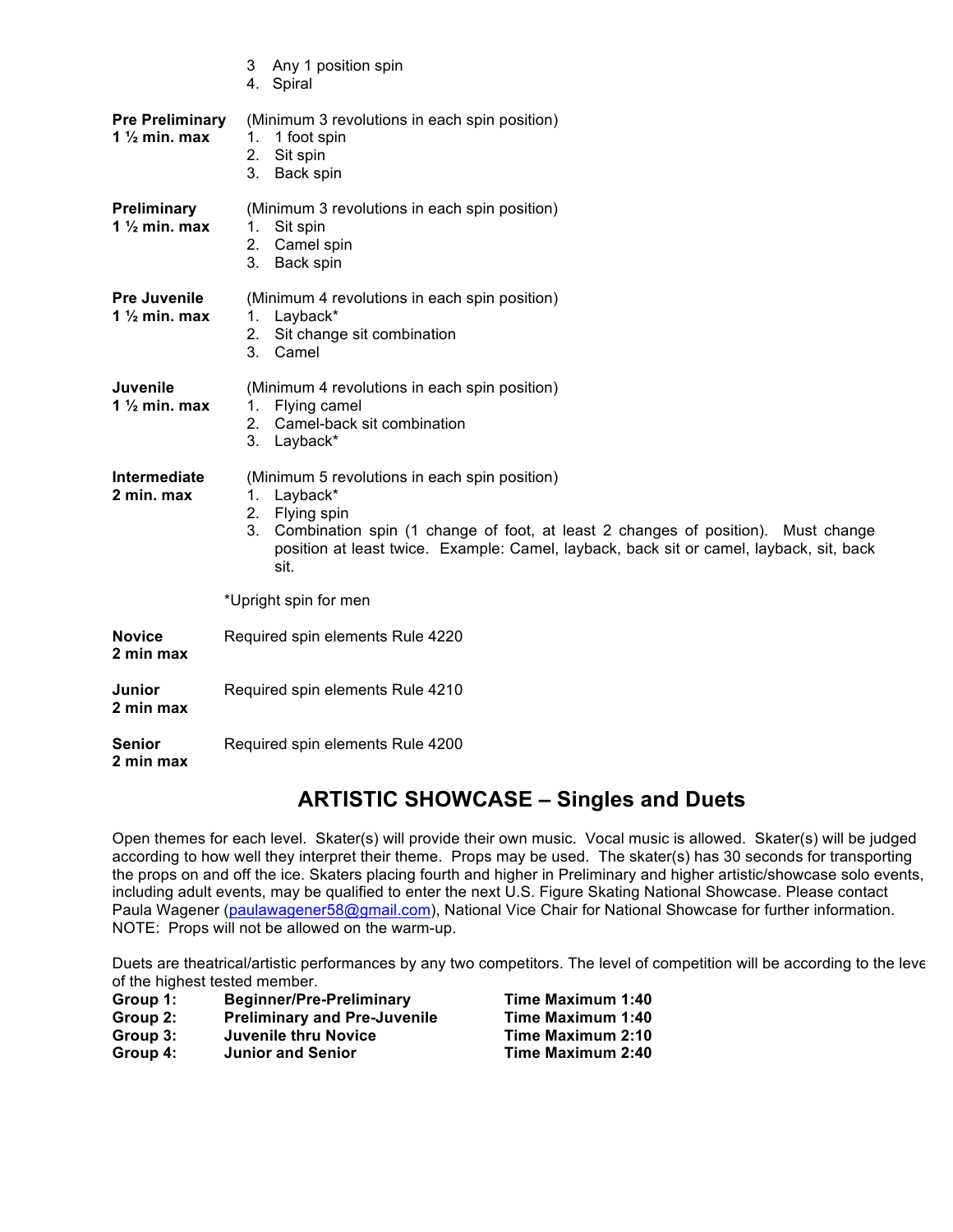|                                                    | 3 Any 1 position spin<br>4. Spiral                                                                                                                                                                                                                                                |  |  |
|----------------------------------------------------|-----------------------------------------------------------------------------------------------------------------------------------------------------------------------------------------------------------------------------------------------------------------------------------|--|--|
| <b>Pre Preliminary</b><br>1 $\frac{1}{2}$ min. max | (Minimum 3 revolutions in each spin position)<br>1 foot spin<br>1.<br>2.<br>Sit spin<br>3. Back spin                                                                                                                                                                              |  |  |
| Preliminary<br>1 $\frac{1}{2}$ min. max            | (Minimum 3 revolutions in each spin position)<br>Sit spin<br>1.<br>2. Camel spin<br>3.<br>Back spin                                                                                                                                                                               |  |  |
| <b>Pre Juvenile</b><br>1 $\frac{1}{2}$ min. max    | (Minimum 4 revolutions in each spin position)<br>1. Layback*<br>2. Sit change sit combination<br>Camel<br>$3_{-}$                                                                                                                                                                 |  |  |
| Juvenile<br>1 $\frac{1}{2}$ min. max               | (Minimum 4 revolutions in each spin position)<br>1. Flying camel<br>2. Camel-back sit combination<br>3. Layback*                                                                                                                                                                  |  |  |
| Intermediate<br>2 min. max                         | (Minimum 5 revolutions in each spin position)<br>Layback*<br>1.<br>Flying spin<br>2.<br>3.<br>Combination spin (1 change of foot, at least 2 changes of position). Must change<br>position at least twice. Example: Camel, layback, back sit or camel, layback, sit, back<br>sit. |  |  |
|                                                    | *Upright spin for men                                                                                                                                                                                                                                                             |  |  |
| <b>Novice</b><br>2 min max                         | Required spin elements Rule 4220                                                                                                                                                                                                                                                  |  |  |
| Junior<br>2 min max                                | Required spin elements Rule 4210                                                                                                                                                                                                                                                  |  |  |
| Senior<br>2 min max                                | Required spin elements Rule 4200                                                                                                                                                                                                                                                  |  |  |

## **ARTISTIC SHOWCASE – Singles and Duets**

Open themes for each level. Skater(s) will provide their own music. Vocal music is allowed. Skater(s) will be judged according to how well they interpret their theme. Props may be used. The skater(s) has 30 seconds for transporting the props on and off the ice. Skaters placing fourth and higher in Preliminary and higher artistic/showcase solo events, including adult events, may be qualified to enter the next U.S. Figure Skating National Showcase. Please contact Paula Wagener (paulawagener58@gmail.com), National Vice Chair for National Showcase for further information. NOTE: Props will not be allowed on the warm-up.

Duets are theatrical/artistic performances by any two competitors. The level of competition will be according to the level of the highest tested member.

| Group 1: | <b>Beginner/Pre-Preliminary</b>     | Time N |
|----------|-------------------------------------|--------|
| Group 2: | <b>Preliminary and Pre-Juvenile</b> | Time N |

- **Group 3: Juvenile thru Novice**<br>**Group 4:** Junior and Senior
- 

**Aaximum 1:40 Fime Maximum 1:40<br><b>Time Maximum 2:10 Time Maximum 2:40**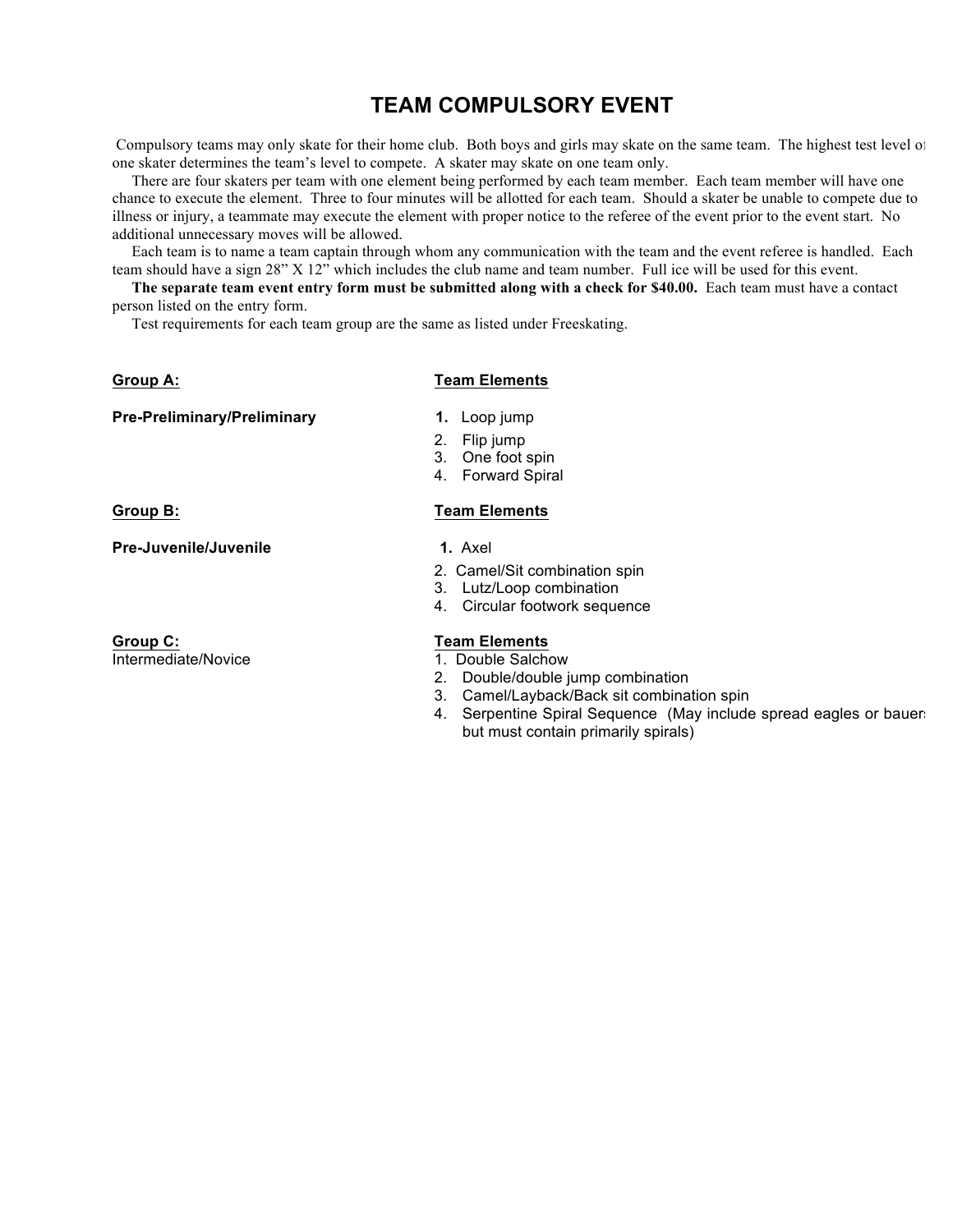## **TEAM COMPULSORY EVENT**

Compulsory teams may only skate for their home club. Both boys and girls may skate on the same team. The highest test level of one skater determines the team's level to compete. A skater may skate on one team only.

 There are four skaters per team with one element being performed by each team member. Each team member will have one chance to execute the element. Three to four minutes will be allotted for each team. Should a skater be unable to compete due to illness or injury, a teammate may execute the element with proper notice to the referee of the event prior to the event start. No additional unnecessary moves will be allowed.

 Each team is to name a team captain through whom any communication with the team and the event referee is handled. Each team should have a sign 28" X 12" which includes the club name and team number. Full ice will be used for this event.

 **The separate team event entry form must be submitted along with a check for \$40.00.** Each team must have a contact person listed on the entry form.

Test requirements for each team group are the same as listed under Freeskating.

#### **Group A: Team Elements**

| <b>Pre-Preliminary/Preliminary</b> |  |
|------------------------------------|--|
|------------------------------------|--|

- **1.** Loop jump
- 2. Flip jump
- 3. One foot spin
- 4. Forward Spiral

**Group B: Team Elements**

**Pre-Juvenile/Juvenile** 1. Axel

**Group C: Team Elements** Intermediate/Novice 1. Double Salchow

- 2. Camel/Sit combination spin
- 3. Lutz/Loop combination
- 4. Circular footwork sequence

- 
- 2. Double/double jump combination
- 3. Camel/Layback/Back sit combination spin
- 4. Serpentine Spiral Sequence (May include spread eagles or bauers but must contain primarily spirals)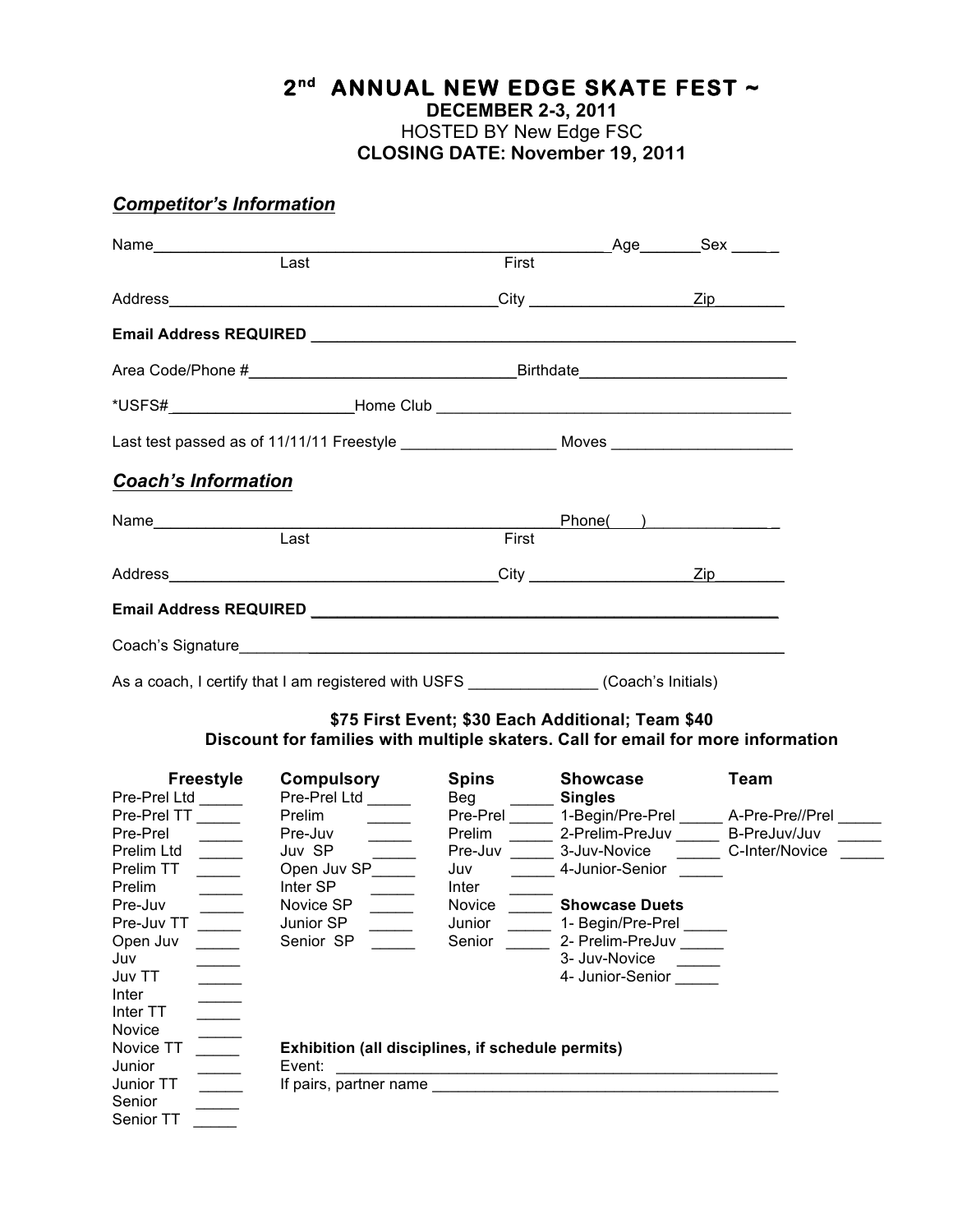# **2nd ANNUAL NEW EDGE SKATE FEST ~**

**DECEMBER 2-3, 2011**

HOSTED BY New Edge FSC **CLOSING DATE: November 19, 2011**

## *Competitor's Information*

Senior \_\_\_\_\_\_ Senior TT

| Name_______________                    |                                                                                                      |                      | ____________ Age________ Sex ______               |                                                               |  |
|----------------------------------------|------------------------------------------------------------------------------------------------------|----------------------|---------------------------------------------------|---------------------------------------------------------------|--|
|                                        | Last                                                                                                 | First                |                                                   |                                                               |  |
|                                        |                                                                                                      |                      |                                                   |                                                               |  |
|                                        |                                                                                                      |                      |                                                   |                                                               |  |
|                                        |                                                                                                      |                      |                                                   |                                                               |  |
|                                        |                                                                                                      |                      |                                                   |                                                               |  |
|                                        | Last test passed as of 11/11/11 Freestyle ___________________________Moves _________________________ |                      |                                                   |                                                               |  |
| <b>Coach's Information</b>             |                                                                                                      |                      |                                                   |                                                               |  |
|                                        |                                                                                                      |                      | Phone( )                                          |                                                               |  |
|                                        | Last                                                                                                 | First                |                                                   |                                                               |  |
|                                        |                                                                                                      |                      |                                                   |                                                               |  |
|                                        |                                                                                                      |                      |                                                   |                                                               |  |
|                                        | Coach's Signature <b>comparison of the Contract of Coach's Signature Coach's Signature</b>           |                      |                                                   |                                                               |  |
|                                        |                                                                                                      |                      |                                                   |                                                               |  |
|                                        | As a coach, I certify that I am registered with USFS _______________(Coach's Initials)               |                      |                                                   |                                                               |  |
|                                        |                                                                                                      |                      | \$75 First Event; \$30 Each Additional; Team \$40 |                                                               |  |
|                                        | Discount for families with multiple skaters. Call for email for more information                     |                      |                                                   |                                                               |  |
| <b>Freestyle</b><br>Pre-Prel Ltd _____ | <b>Compulsory</b><br>Pre-Prel Ltd _____                                                              | Beg ________ Singles | Spins Showcase                                    | <b>Team</b>                                                   |  |
| Pre-Prel TT _____                      | Prelim                                                                                               |                      |                                                   | Pre-Prel ______ 1-Begin/Pre-Prel ______ A-Pre-Pre//Prel _____ |  |
| Pre-Prel<br>$\overline{\phantom{a}}$   | Pre-Juv _____                                                                                        |                      |                                                   | Prelim ______ 2-Prelim-PreJuv ______ B-PreJuv/Juv _____       |  |
| Prelim Ltd ______                      |                                                                                                      |                      |                                                   | Pre-Juv _______ 3-Juv-Novice _________ C-Inter/Novice ______  |  |
| Prelim TT<br>$\overline{\phantom{a}}$  | Juv SP<br>Open Juv SP                                                                                |                      | Juv ________ 4-Junior-Senior ______               |                                                               |  |
| Prelim<br>$\frac{1}{1}$                | Inter SP                                                                                             | Inter                |                                                   |                                                               |  |
| Pre-Juv <u>__</u>                      | Novice SP                                                                                            |                      | Novice _______ Showcase Duets                     |                                                               |  |
| Pre-Juv TT                             | Junior SP                                                                                            | Junior               | 1- Begin/Pre-Prel                                 |                                                               |  |
| Open Juv                               | Senior SP                                                                                            | Senior               | 2- Prelim-PreJuv                                  |                                                               |  |
| Juv                                    |                                                                                                      |                      | 3- Juv-Novice                                     |                                                               |  |
| Juv TT                                 |                                                                                                      |                      | 4- Junior-Senior                                  |                                                               |  |
|                                        |                                                                                                      |                      |                                                   |                                                               |  |
| Inter                                  |                                                                                                      |                      |                                                   |                                                               |  |
| Inter TT                               |                                                                                                      |                      |                                                   |                                                               |  |
| Novice                                 |                                                                                                      |                      |                                                   |                                                               |  |
| Novice TT                              | Exhibition (all disciplines, if schedule permits)                                                    |                      |                                                   |                                                               |  |
| Junior                                 | Event:                                                                                               |                      |                                                   |                                                               |  |
| Junior TT                              |                                                                                                      |                      |                                                   |                                                               |  |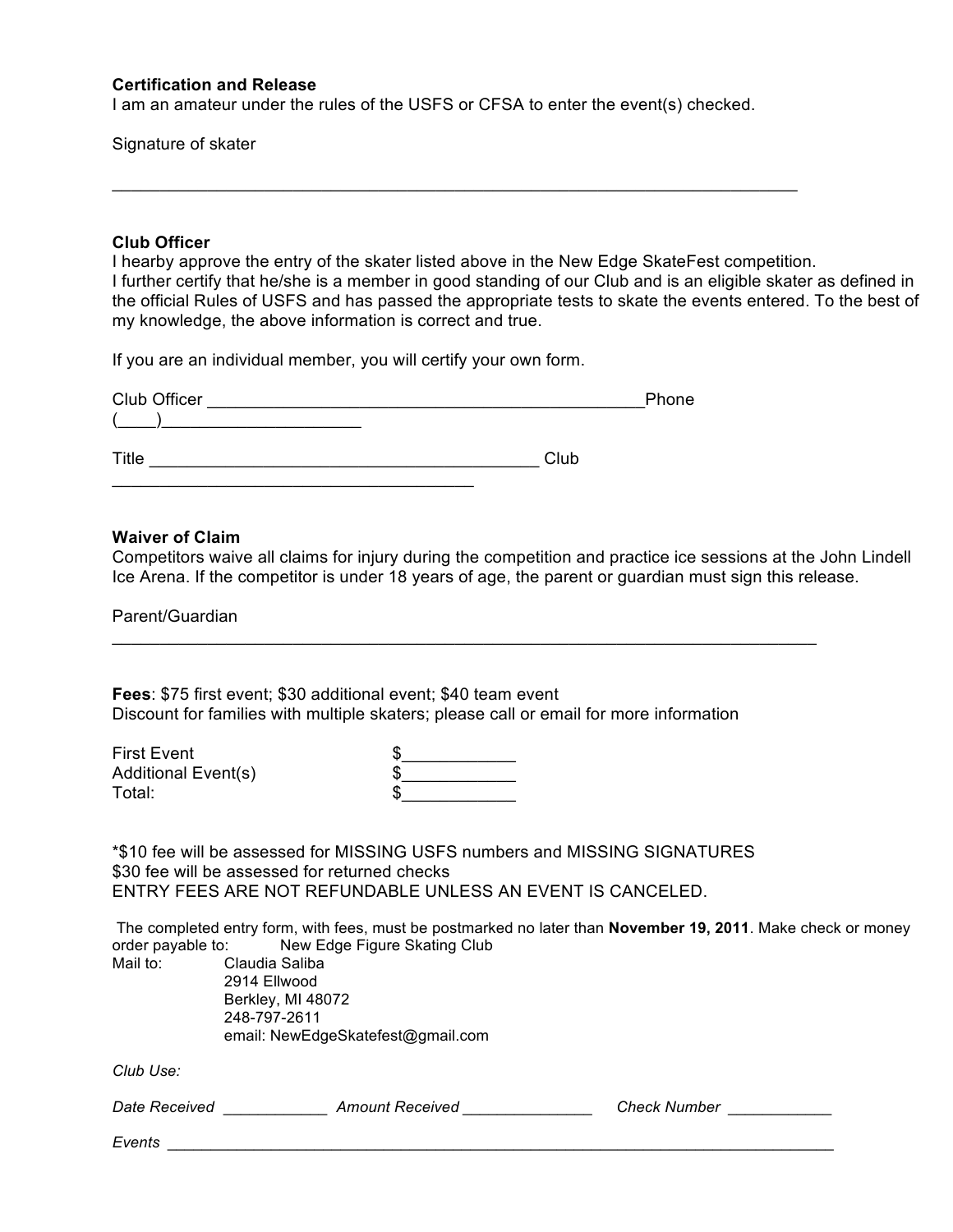#### **Certification and Release**

I am an amateur under the rules of the USFS or CFSA to enter the event(s) checked.

 $\Box$ 

Signature of skater

#### **Club Officer**

I hearby approve the entry of the skater listed above in the New Edge SkateFest competition. I further certify that he/she is a member in good standing of our Club and is an eligible skater as defined in the official Rules of USFS and has passed the appropriate tests to skate the events entered. To the best of my knowledge, the above information is correct and true.

If you are an individual member, you will certify your own form.

 $\mathcal{L}_\mathcal{L}$  , where  $\mathcal{L}_\mathcal{L}$  , we have the set of the set of the set of the set of the set of the set of the set of the set of the set of the set of the set of the set of the set of the set of the set of the set

| Club Officer | Phone |
|--------------|-------|
|              |       |
|              |       |
| Title        | Club  |

#### **Waiver of Claim**

Competitors waive all claims for injury during the competition and practice ice sessions at the John Lindell Ice Arena. If the competitor is under 18 years of age, the parent or guardian must sign this release.

Parent/Guardian

**Fees**: \$75 first event; \$30 additional event; \$40 team event Discount for families with multiple skaters; please call or email for more information

First Event Additional Event(s) Total: \$\_\_\_\_\_\_\_\_\_\_\_\_

\_\_\_\_\_\_\_\_\_\_\_\_\_\_\_\_\_\_\_\_\_\_\_\_\_\_\_\_\_\_\_\_\_\_\_\_\_\_\_\_\_\_\_\_\_\_\_\_\_\_\_\_\_\_\_\_\_\_\_\_\_\_\_\_\_\_\_\_\_\_\_\_\_\_

\*\$10 fee will be assessed for MISSING USFS numbers and MISSING SIGNATURES \$30 fee will be assessed for returned checks ENTRY FEES ARE NOT REFUNDABLE UNLESS AN EVENT IS CANCELED.

The completed entry form, with fees, must be postmarked no later than **November 19, 2011**. Make check or money order payable to: New Edge Figure Skating Club

Mail to: Claudia Saliba 2914 Ellwood Berkley, MI 48072 248-797-2611 email: NewEdgeSkatefest@gmail.com

*Club Use:*

*Date Received \_\_\_\_\_\_\_\_\_\_\_\_ Amount Received \_\_\_\_\_\_\_\_\_\_\_\_\_\_\_ Check Number \_\_\_\_\_\_\_\_\_\_\_\_*

*Events \_\_\_\_\_\_\_\_\_\_\_\_\_\_\_\_\_\_\_\_\_\_\_\_\_\_\_\_\_\_\_\_\_\_\_\_\_\_\_\_\_\_\_\_\_\_\_\_\_\_\_\_\_\_\_\_\_\_\_\_\_\_\_\_\_\_\_\_\_\_\_\_\_\_\_\_\_*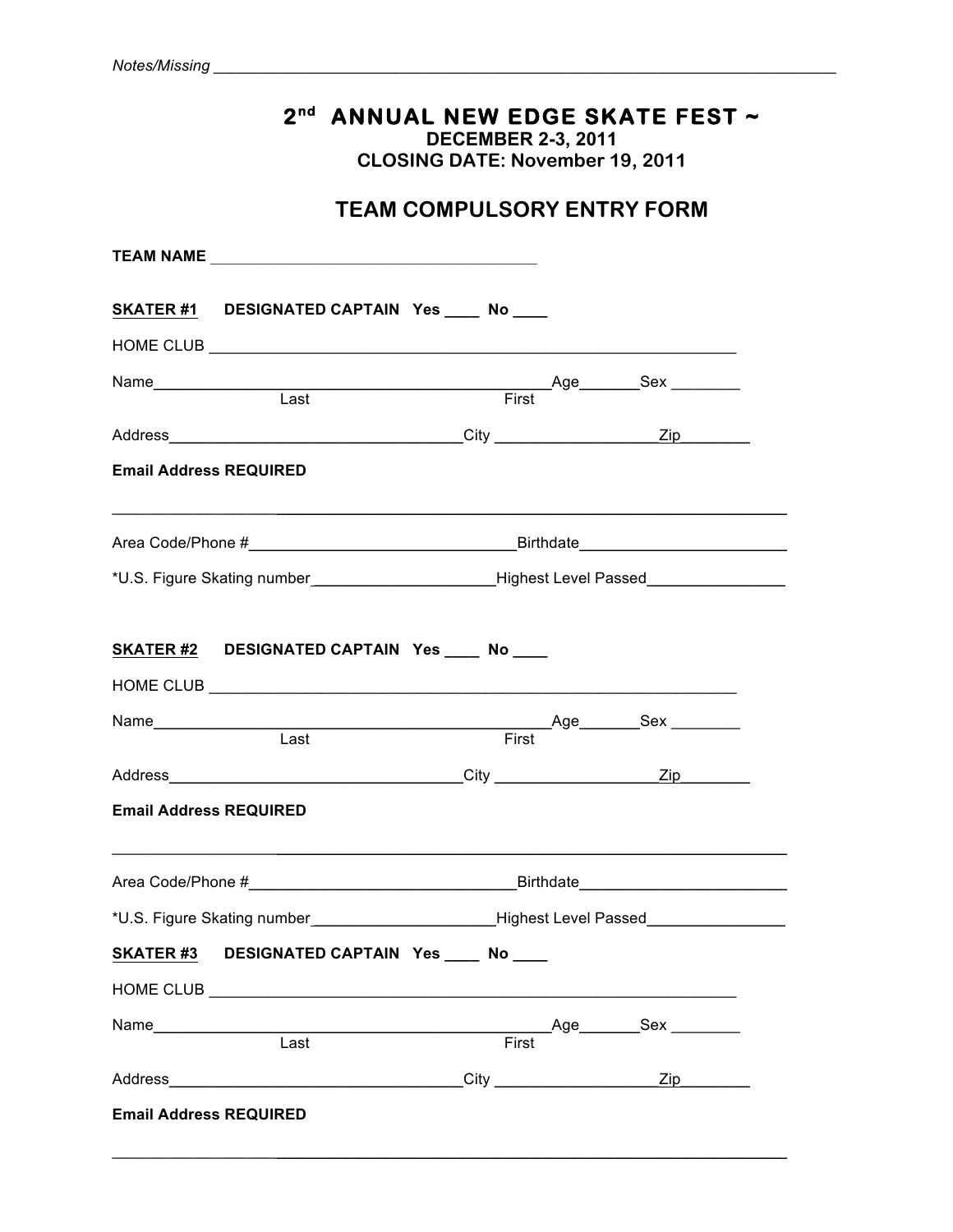# **2nd ANNUAL NEW EDGE SKATE FEST ~**

**DECEMBER 2-3, 2011**

**CLOSING DATE: November 19, 2011**

## **TEAM COMPULSORY ENTRY FORM**

|                               | SKATER #1 DESIGNATED CAPTAIN Yes ____ No ___                                                        |       |  |
|-------------------------------|-----------------------------------------------------------------------------------------------------|-------|--|
|                               |                                                                                                     |       |  |
|                               |                                                                                                     |       |  |
|                               |                                                                                                     |       |  |
|                               |                                                                                                     |       |  |
| <b>Email Address REQUIRED</b> |                                                                                                     |       |  |
|                               |                                                                                                     |       |  |
|                               | *U.S. Figure Skating number___________________________Highest Level Passed_________________________ |       |  |
|                               | SKATER #2 DESIGNATED CAPTAIN Yes ____ No ___                                                        |       |  |
|                               |                                                                                                     |       |  |
|                               |                                                                                                     |       |  |
|                               |                                                                                                     |       |  |
|                               |                                                                                                     |       |  |
| <b>Email Address REQUIRED</b> |                                                                                                     |       |  |
|                               | <u> 1980 - Johann John Stone, market fransk politiker (d. 1980)</u>                                 |       |  |
|                               |                                                                                                     |       |  |
|                               | SKATER #3 DESIGNATED CAPTAIN Yes ____ No ___                                                        |       |  |
|                               |                                                                                                     |       |  |
|                               |                                                                                                     |       |  |
|                               |                                                                                                     | First |  |
|                               |                                                                                                     |       |  |

 $\mathcal{L}_\mathcal{L} = \{ \mathcal{L}_\mathcal{L} = \{ \mathcal{L}_\mathcal{L} = \{ \mathcal{L}_\mathcal{L} = \{ \mathcal{L}_\mathcal{L} = \{ \mathcal{L}_\mathcal{L} = \{ \mathcal{L}_\mathcal{L} = \{ \mathcal{L}_\mathcal{L} = \{ \mathcal{L}_\mathcal{L} = \{ \mathcal{L}_\mathcal{L} = \{ \mathcal{L}_\mathcal{L} = \{ \mathcal{L}_\mathcal{L} = \{ \mathcal{L}_\mathcal{L} = \{ \mathcal{L}_\mathcal{L} = \{ \mathcal{L}_\mathcal{$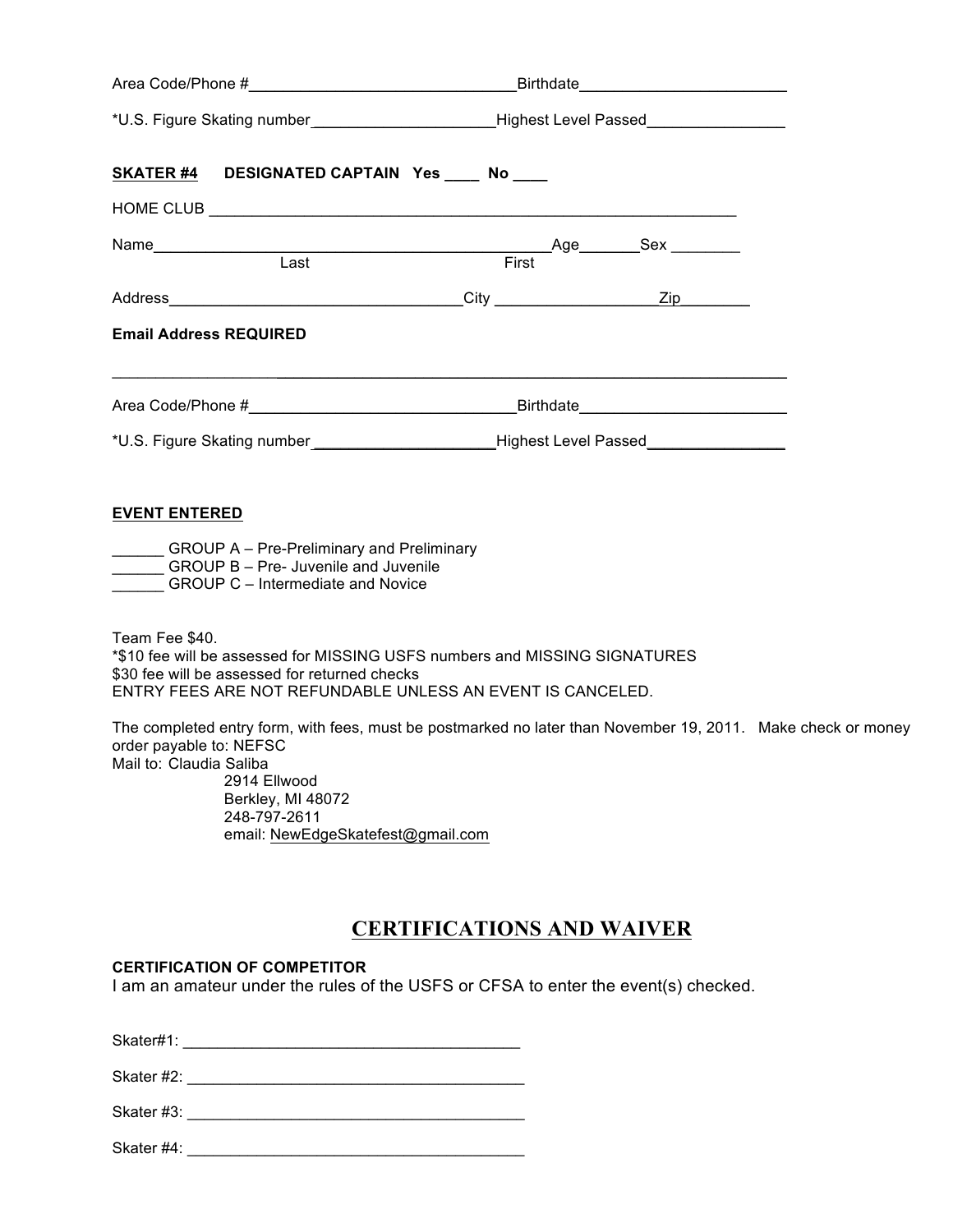|                                                    | *U.S. Figure Skating number________________________Highest Level Passed________________                                                                                                                                        |  |
|----------------------------------------------------|--------------------------------------------------------------------------------------------------------------------------------------------------------------------------------------------------------------------------------|--|
|                                                    | SKATER #4 DESIGNATED CAPTAIN Yes ____ No ____                                                                                                                                                                                  |  |
|                                                    |                                                                                                                                                                                                                                |  |
|                                                    | Name Constant Cast Constant Constant Constant Constant Constant Constant Constant Constant Constant Constant Constant Constant Constant Constant Constant Constant Constant Constant Constant Constant Constant Constant Const |  |
|                                                    |                                                                                                                                                                                                                                |  |
| <b>Email Address REQUIRED</b>                      |                                                                                                                                                                                                                                |  |
|                                                    |                                                                                                                                                                                                                                |  |
|                                                    |                                                                                                                                                                                                                                |  |
| <b>EVENT ENTERED</b><br>Team Fee \$40.             | <b>EXAMPLE A</b> – Pre-Preliminary and Preliminary<br>GROUP B - Pre- Juvenile and Juvenile<br>GROUP C – Intermediate and Novice                                                                                                |  |
|                                                    | *\$10 fee will be assessed for MISSING USFS numbers and MISSING SIGNATURES<br>\$30 fee will be assessed for returned checks<br>ENTRY FEES ARE NOT REFUNDABLE UNLESS AN EVENT IS CANCELED.                                      |  |
| order payable to: NEFSC<br>Mail to: Claudia Saliba | The completed entry form, with fees, must be postmarked no later than November 19, 2011. Make check or money<br>2914 Ellwood<br>Berkley, MI 48072<br>248-797-2611<br>email: NewEdgeSkatefest@gmail.com                         |  |
|                                                    | <b>CERTIFICATIONS AND WAIVER</b>                                                                                                                                                                                               |  |
| <b>CERTIFICATION OF COMPETITOR</b>                 | I am an amateur under the rules of the USFS or CFSA to enter the event(s) checked.                                                                                                                                             |  |
| Skater#1:                                          |                                                                                                                                                                                                                                |  |

Skater #2: \_\_\_\_\_\_\_\_\_\_\_\_\_\_\_\_\_\_\_\_\_\_\_\_\_\_\_\_\_\_\_\_\_\_\_\_\_\_\_

Skater #3: \_\_\_\_\_\_\_\_\_\_\_\_\_\_\_\_\_\_\_\_\_\_\_\_\_\_\_\_\_\_\_\_\_\_\_\_\_\_\_

Skater #4: \_\_\_\_\_\_\_\_\_\_\_\_\_\_\_\_\_\_\_\_\_\_\_\_\_\_\_\_\_\_\_\_\_\_\_\_\_\_\_